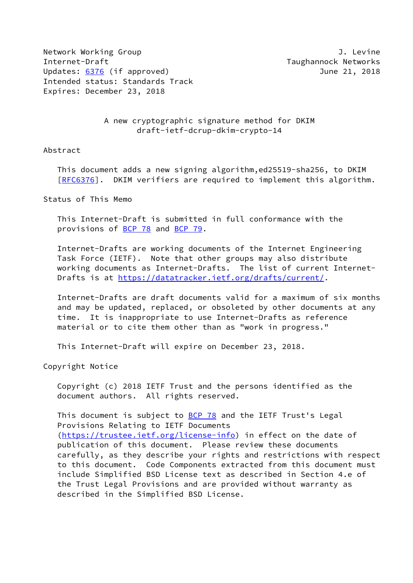Network Working Group **J. Levine** Internet-Draft Taughannock Networks Updates: [6376](https://datatracker.ietf.org/doc/pdf/rfc6376) (if approved) June 21, 2018 Intended status: Standards Track Expires: December 23, 2018

## A new cryptographic signature method for DKIM draft-ietf-dcrup-dkim-crypto-14

## Abstract

 This document adds a new signing algorithm,ed25519-sha256, to DKIM [\[RFC6376](https://datatracker.ietf.org/doc/pdf/rfc6376)]. DKIM verifiers are required to implement this algorithm.

Status of This Memo

 This Internet-Draft is submitted in full conformance with the provisions of [BCP 78](https://datatracker.ietf.org/doc/pdf/bcp78) and [BCP 79](https://datatracker.ietf.org/doc/pdf/bcp79).

 Internet-Drafts are working documents of the Internet Engineering Task Force (IETF). Note that other groups may also distribute working documents as Internet-Drafts. The list of current Internet- Drafts is at<https://datatracker.ietf.org/drafts/current/>.

 Internet-Drafts are draft documents valid for a maximum of six months and may be updated, replaced, or obsoleted by other documents at any time. It is inappropriate to use Internet-Drafts as reference material or to cite them other than as "work in progress."

This Internet-Draft will expire on December 23, 2018.

Copyright Notice

 Copyright (c) 2018 IETF Trust and the persons identified as the document authors. All rights reserved.

This document is subject to **[BCP 78](https://datatracker.ietf.org/doc/pdf/bcp78)** and the IETF Trust's Legal Provisions Relating to IETF Documents [\(https://trustee.ietf.org/license-info](https://trustee.ietf.org/license-info)) in effect on the date of publication of this document. Please review these documents carefully, as they describe your rights and restrictions with respect to this document. Code Components extracted from this document must include Simplified BSD License text as described in Section 4.e of the Trust Legal Provisions and are provided without warranty as described in the Simplified BSD License.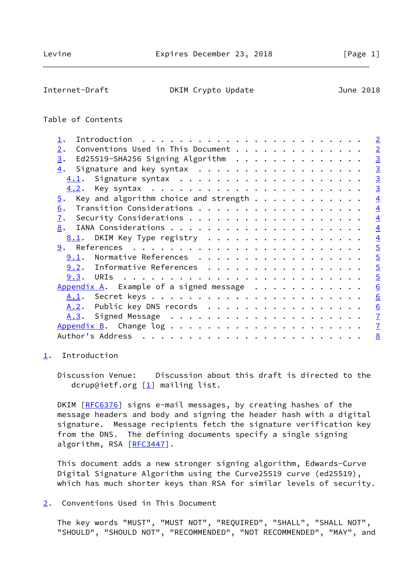## <span id="page-1-1"></span>Internet-Draft **DKIM Crypto Update** June 2018

# Table of Contents

|                                                                                                                                                                                                                                                   | $\overline{2}$  |
|---------------------------------------------------------------------------------------------------------------------------------------------------------------------------------------------------------------------------------------------------|-----------------|
| Conventions Used in This Document<br>2.                                                                                                                                                                                                           | $\overline{2}$  |
| Ed25519-SHA256 Signing Algorithm<br>3.                                                                                                                                                                                                            | $\overline{3}$  |
| Signature and key syntax<br>4.                                                                                                                                                                                                                    | $\overline{3}$  |
| 4.1.                                                                                                                                                                                                                                              | $\overline{3}$  |
|                                                                                                                                                                                                                                                   | $\overline{3}$  |
| Key and algorithm choice and strength $\dots$<br>5.                                                                                                                                                                                               | $\overline{4}$  |
| 6.                                                                                                                                                                                                                                                | $\overline{4}$  |
| 7.                                                                                                                                                                                                                                                | $\overline{4}$  |
| 8.                                                                                                                                                                                                                                                | $\overline{4}$  |
| DKIM Key Type registry<br>8.1.                                                                                                                                                                                                                    | $\overline{4}$  |
|                                                                                                                                                                                                                                                   | $\overline{5}$  |
| Normative References<br>9.1.                                                                                                                                                                                                                      | $\overline{5}$  |
| Informative References<br>9.2.                                                                                                                                                                                                                    | $\overline{5}$  |
| 9.3.                                                                                                                                                                                                                                              | $\overline{5}$  |
| Appendix A. Example of a signed message $\ldots$                                                                                                                                                                                                  | 6               |
| A.1.                                                                                                                                                                                                                                              | $\underline{6}$ |
| Public key DNS records<br><u>A.2</u> .                                                                                                                                                                                                            | 6               |
| <u>A.3</u> .                                                                                                                                                                                                                                      | $\overline{1}$  |
|                                                                                                                                                                                                                                                   | $\overline{1}$  |
| Author's Address<br>. The contract of the contract of the contract of the contract of the contract of the contract of the contract of the contract of the contract of the contract of the contract of the contract of the contract of the contrac | 8               |
|                                                                                                                                                                                                                                                   |                 |

# <span id="page-1-0"></span>[1](#page-1-0). Introduction

 Discussion Venue: Discussion about this draft is directed to the dcrup@ietf.org  $[1]$  $[1]$  mailing list.

DKIM [\[RFC6376](https://datatracker.ietf.org/doc/pdf/rfc6376)] signs e-mail messages, by creating hashes of the message headers and body and signing the header hash with a digital signature. Message recipients fetch the signature verification key from the DNS. The defining documents specify a single signing algorithm, RSA [\[RFC3447](https://datatracker.ietf.org/doc/pdf/rfc3447)].

 This document adds a new stronger signing algorithm, Edwards-Curve Digital Signature Algorithm using the Curve25519 curve (ed25519), which has much shorter keys than RSA for similar levels of security.

<span id="page-1-2"></span>[2](#page-1-2). Conventions Used in This Document

 The key words "MUST", "MUST NOT", "REQUIRED", "SHALL", "SHALL NOT", "SHOULD", "SHOULD NOT", "RECOMMENDED", "NOT RECOMMENDED", "MAY", and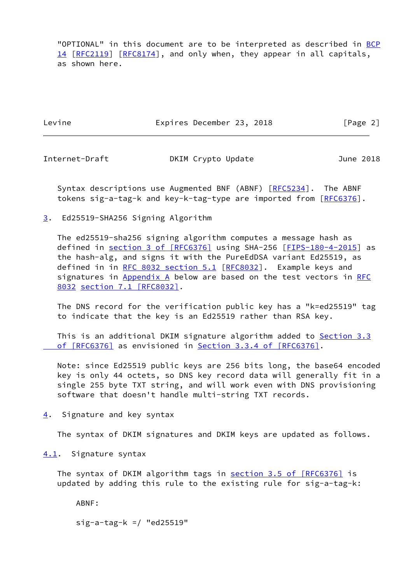"OPTIONAL" in this document are to be interpreted as described in [BCP](https://datatracker.ietf.org/doc/pdf/bcp14) [14](https://datatracker.ietf.org/doc/pdf/bcp14) [[RFC2119\]](https://datatracker.ietf.org/doc/pdf/rfc2119) [\[RFC8174](https://datatracker.ietf.org/doc/pdf/rfc8174)], and only when, they appear in all capitals, as shown here.

Levine **Expires December 23, 2018** [Page 2]

<span id="page-2-1"></span>

Internet-Draft DKIM Crypto Update June 2018

Syntax descriptions use Augmented BNF (ABNF) [\[RFC5234](https://datatracker.ietf.org/doc/pdf/rfc5234)]. The ABNF tokens sig-a-tag-k and key-k-tag-type are imported from [\[RFC6376](https://datatracker.ietf.org/doc/pdf/rfc6376)].

<span id="page-2-0"></span>[3](#page-2-0). Ed25519-SHA256 Signing Algorithm

 The ed25519-sha256 signing algorithm computes a message hash as defined in section [3 of \[RFC6376\]](https://datatracker.ietf.org/doc/pdf/rfc6376#section-3) using SHA-256 [\[FIPS-180-4-2015](#page-4-4)] as the hash-alg, and signs it with the PureEdDSA variant Ed25519, as defined in in [RFC 8032 section](https://datatracker.ietf.org/doc/pdf/rfc8032#section-5.1) 5.1 [[RFC8032\]](https://datatracker.ietf.org/doc/pdf/rfc8032). Example keys and signatures in [Appendix A](#page-5-2) below are based on the test vectors in [RFC](https://datatracker.ietf.org/doc/pdf/rfc8032) [8032](https://datatracker.ietf.org/doc/pdf/rfc8032) section [7.1 \[RFC8032\]](https://datatracker.ietf.org/doc/pdf/rfc8032#section-7.1).

 The DNS record for the verification public key has a "k=ed25519" tag to indicate that the key is an Ed25519 rather than RSA key.

This is an additional DKIM signature algorithm added to [Section](https://datatracker.ietf.org/doc/pdf/rfc6376#section-3.3) 3.3  [of \[RFC6376\]](https://datatracker.ietf.org/doc/pdf/rfc6376#section-3.3) as envisioned in Section [3.3.4 of \[RFC6376\].](https://datatracker.ietf.org/doc/pdf/rfc6376#section-3.3.4)

 Note: since Ed25519 public keys are 256 bits long, the base64 encoded key is only 44 octets, so DNS key record data will generally fit in a single 255 byte TXT string, and will work even with DNS provisioning software that doesn't handle multi-string TXT records.

<span id="page-2-2"></span>[4](#page-2-2). Signature and key syntax

The syntax of DKIM signatures and DKIM keys are updated as follows.

<span id="page-2-3"></span>[4.1](#page-2-3). Signature syntax

The syntax of DKIM algorithm tags in section [3.5 of \[RFC6376\]](https://datatracker.ietf.org/doc/pdf/rfc6376#section-3.5) is updated by adding this rule to the existing rule for sig-a-tag-k:

ABNF:

sig-a-tag-k =/ "ed25519"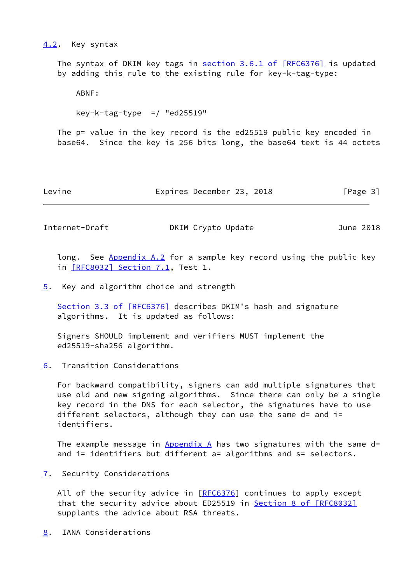#### <span id="page-3-0"></span>[4.2](#page-3-0). Key syntax

The syntax of DKIM key tags in section [3.6.1 of \[RFC6376\]](https://datatracker.ietf.org/doc/pdf/rfc6376#section-3.6.1) is updated by adding this rule to the existing rule for key-k-tag-type:

ABNF:

key-k-tag-type =/ "ed25519"

 The p= value in the key record is the ed25519 public key encoded in base64. Since the key is 256 bits long, the base64 text is 44 octets

Levine Expires December 23, 2018 [Page 3]

<span id="page-3-2"></span>Internet-Draft **DKIM Crypto Update** June 2018

long. See [Appendix A.2](#page-6-0) for a sample key record using the public key in [\[RFC8032\] Section](https://datatracker.ietf.org/doc/pdf/rfc8032#section-7.1) 7.1, Test 1.

<span id="page-3-1"></span>[5](#page-3-1). Key and algorithm choice and strength

Section [3.3 of \[RFC6376\]](https://datatracker.ietf.org/doc/pdf/rfc6376#section-3.3) describes DKIM's hash and signature algorithms. It is updated as follows:

 Signers SHOULD implement and verifiers MUST implement the ed25519-sha256 algorithm.

<span id="page-3-3"></span>[6](#page-3-3). Transition Considerations

 For backward compatibility, signers can add multiple signatures that use old and new signing algorithms. Since there can only be a single key record in the DNS for each selector, the signatures have to use different selectors, although they can use the same  $d=$  and  $i=$ identifiers.

The example message in [Appendix A](#page-5-2) has two signatures with the same d= and i= identifiers but different a= algorithms and s= selectors.

<span id="page-3-4"></span>[7](#page-3-4). Security Considerations

All of the security advice in  $[REC6376]$  continues to apply except that the security advice about ED25519 in Section [8 of \[RFC8032\]](https://datatracker.ietf.org/doc/pdf/rfc8032#section-8) supplants the advice about RSA threats.

<span id="page-3-5"></span>[8](#page-3-5). IANA Considerations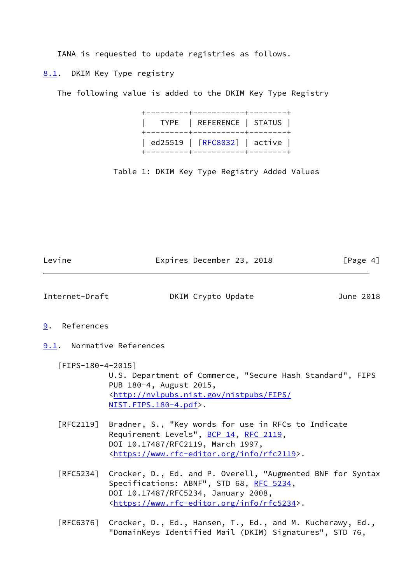IANA is requested to update registries as follows.

<span id="page-4-0"></span>[8.1](#page-4-0). DKIM Key Type registry

The following value is added to the DKIM Key Type Registry

|  | +---------+------------+-------+<br>  TYPE   REFERENCE   STATUS  <br>+---------+-----------+-------+ |  |
|--|------------------------------------------------------------------------------------------------------|--|
|  | ed25519   [RFC8032]   active  <br>+---------+------------+-------+                                   |  |

Table 1: DKIM Key Type Registry Added Values

<span id="page-4-4"></span><span id="page-4-3"></span><span id="page-4-2"></span><span id="page-4-1"></span>

| Levine               | Expires December 23, 2018                                                                                                                                                                                    | [Page 4]  |
|----------------------|--------------------------------------------------------------------------------------------------------------------------------------------------------------------------------------------------------------|-----------|
| Internet-Draft       | DKIM Crypto Update                                                                                                                                                                                           | June 2018 |
| References<br>9.     |                                                                                                                                                                                                              |           |
|                      | 9.1. Normative References                                                                                                                                                                                    |           |
| $[$ FIPS-180-4-2015] | U.S. Department of Commerce, "Secure Hash Standard", FIPS<br>PUB 180-4, August 2015,<br><http: <br="" fips="" nistpubs="" nvlpubs.nist.gov=""><math>NIST.FIPS.180-4.pdf</math>.</http:>                      |           |
| [RFC2119]            | Bradner, S., "Key words for use in RFCs to Indicate<br>Requirement Levels", BCP 14, RFC 2119,<br>DOI 10.17487/RFC2119, March 1997,<br><https: info="" rfc2119="" www.rfc-editor.org="">.</https:>            |           |
| $\lceil$ RFC5234]    | Crocker, D., Ed. and P. Overell, "Augmented BNF for Syntax<br>Specifications: ABNF", STD 68, RFC 5234,<br>DOI 10.17487/RFC5234, January 2008,<br><https: info="" rfc5234="" www.rfc-editor.org="">.</https:> |           |
| [RFC6376]            | Crocker, D., Ed., Hansen, T., Ed., and M. Kucherawy, Ed.,<br>"DomainKeys Identified Mail (DKIM) Signatures", STD 76,                                                                                         |           |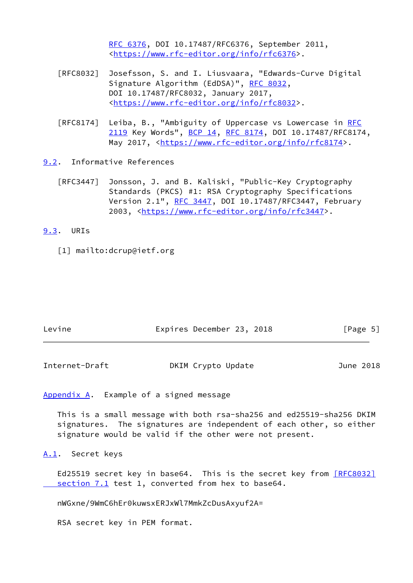[RFC 6376,](https://datatracker.ietf.org/doc/pdf/rfc6376) DOI 10.17487/RFC6376, September 2011, <[https://www.rfc-editor.org/info/rfc6376>](https://www.rfc-editor.org/info/rfc6376).

- [RFC8032] Josefsson, S. and I. Liusvaara, "Edwards-Curve Digital Signature Algorithm (EdDSA)", [RFC 8032](https://datatracker.ietf.org/doc/pdf/rfc8032), DOI 10.17487/RFC8032, January 2017, <[https://www.rfc-editor.org/info/rfc8032>](https://www.rfc-editor.org/info/rfc8032).
- [RFC8174] Leiba, B., "Ambiguity of Uppercase vs Lowercase in [RFC](https://datatracker.ietf.org/doc/pdf/rfc2119) [2119](https://datatracker.ietf.org/doc/pdf/rfc2119) Key Words", [BCP 14](https://datatracker.ietf.org/doc/pdf/bcp14), [RFC 8174,](https://datatracker.ietf.org/doc/pdf/rfc8174) DOI 10.17487/RFC8174, May 2017, [<https://www.rfc-editor.org/info/rfc8174](https://www.rfc-editor.org/info/rfc8174)>.

<span id="page-5-0"></span>[9.2](#page-5-0). Informative References

 [RFC3447] Jonsson, J. and B. Kaliski, "Public-Key Cryptography Standards (PKCS) #1: RSA Cryptography Specifications Version 2.1", [RFC 3447](https://datatracker.ietf.org/doc/pdf/rfc3447), DOI 10.17487/RFC3447, February 2003, [<https://www.rfc-editor.org/info/rfc3447](https://www.rfc-editor.org/info/rfc3447)>.

<span id="page-5-1"></span>[9.3](#page-5-1). URIs

<span id="page-5-5"></span>[1] mailto:dcrup@ietf.org

| Levine | Expires December 23, 2018 |  | [Page 5] |  |
|--------|---------------------------|--|----------|--|
|        |                           |  |          |  |

<span id="page-5-3"></span>Internet-Draft **DKIM Crypto Update** June 2018

<span id="page-5-2"></span>[Appendix A.](#page-5-2) Example of a signed message

 This is a small message with both rsa-sha256 and ed25519-sha256 DKIM signatures. The signatures are independent of each other, so either signature would be valid if the other were not present.

<span id="page-5-4"></span>[A.1](#page-5-4). Secret keys

Ed25519 secret key in base64. This is the secret key from [\[RFC8032\]](https://datatracker.ietf.org/doc/pdf/rfc8032#section-7.1) section 7.1 test 1, converted from hex to base64.

nWGxne/9WmC6hEr0kuwsxERJxWl7MmkZcDusAxyuf2A=

RSA secret key in PEM format.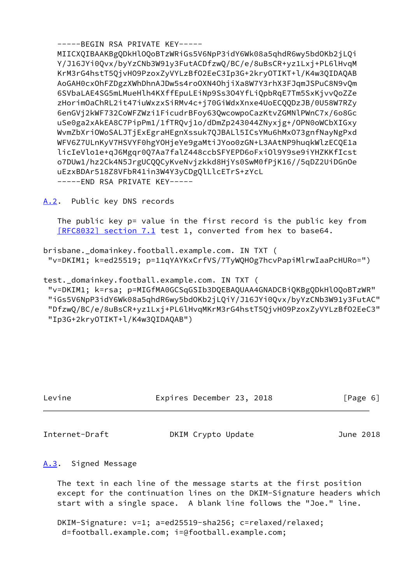-----BEGIN RSA PRIVATE KEY----- MIICXQIBAAKBgQDkHlOQoBTzWRiGs5V6NpP3idY6Wk08a5qhdR6wy5bdOKb2jLQi Y/J16JYi0Qvx/byYzCNb3W91y3FutACDfzwQ/BC/e/8uBsCR+yz1Lxj+PL6lHvqM KrM3rG4hstT5QjvHO9PzoxZyVYLzBfO2EeC3Ip3G+2kryOTIKT+l/K4w3QIDAQAB AoGAH0cxOhFZDgzXWhDhnAJDw5s4roOXN4OhjiXa8W7Y3rhX3FJqmJSPuC8N9vQm 6SVbaLAE4SG5mLMueHlh4KXffEpuLEiNp9Ss3O4YfLiQpbRqE7Tm5SxKjvvQoZZe zHorimOaChRL2it47iuWxzxSiRMv4c+j70GiWdxXnxe4UoECQQDzJB/0U58W7RZy 6enGVj2kWF732CoWFZWzi1FicudrBFoy63QwcowpoCazKtvZGMNlPWnC7x/6o8Gc uSe0ga2xAkEA8C7PipPm1/1fTRQvj1o/dDmZp243044ZNyxjg+/OPN0oWCbXIGxy WvmZbXriOWoSALJTjExEgraHEgnXssuk7QJBALl5ICsYMu6hMxO73gnfNayNgPxd WFV6Z7ULnKyV7HSVYF0hgYOHjeYe9gaMtiJYoo0zGN+L3AAtNP9huqkWlzECQE1a licIeVlo1e+qJ6Mgqr0Q7Aa7falZ448ccbSFYEPD6oFxiOl9Y9se9iYHZKKfIcst o7DUw1/hz2Ck4N5JrgUCQQCyKveNvjzkkd8HjYs0SwM0fPjK16//5qDZ2UiDGnOe uEzxBDAr518Z8VFbR41in3W4Y3yCDgQlLlcETrS+zYcL -----END RSA PRIVATE KEY-----

<span id="page-6-0"></span>[A.2](#page-6-0). Public key DNS records

The public key p= value in the first record is the public key from [\[RFC8032\] section](https://datatracker.ietf.org/doc/pdf/rfc8032#section-7.1) 7.1 test 1, converted from hex to base64.

brisbane.\_domainkey.football.example.com. IN TXT ( "v=DKIM1; k=ed25519; p=11qYAYKxCrfVS/7TyWQHOg7hcvPapiMlrwIaaPcHURo=")

test.\_domainkey.football.example.com. IN TXT ( "v=DKIM1; k=rsa; p=MIGfMA0GCSqGSIb3DQEBAQUAA4GNADCBiQKBgQDkHlOQoBTzWR" "iGs5V6NpP3idY6Wk08a5qhdR6wy5bdOKb2jLQiY/J16JYi0Qvx/byYzCNb3W91y3FutAC" "DfzwQ/BC/e/8uBsCR+yz1Lxj+PL6lHvqMKrM3rG4hstT5QjvHO9PzoxZyVYLzBfO2EeC3" "Ip3G+2kryOTIKT+l/K4w3QIDAQAB")

| Levine |  |
|--------|--|
|        |  |

Expires December 23, 2018 [Page 6]

<span id="page-6-2"></span>Internet-Draft DKIM Crypto Update June 2018

## <span id="page-6-1"></span>[A.3](#page-6-1). Signed Message

 The text in each line of the message starts at the first position except for the continuation lines on the DKIM-Signature headers which start with a single space. A blank line follows the "Joe." line.

 DKIM-Signature: v=1; a=ed25519-sha256; c=relaxed/relaxed; d=football.example.com; i=@football.example.com;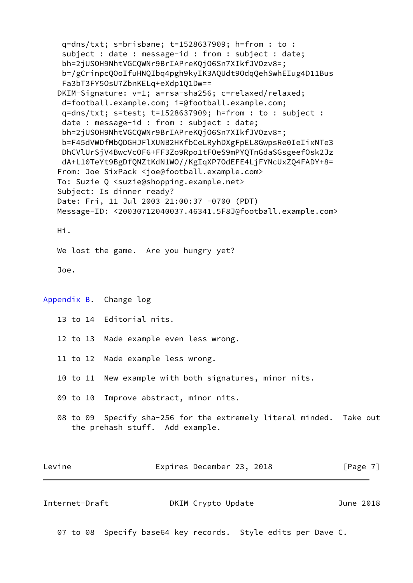q=dns/txt; s=brisbane; t=1528637909; h=from : to : subject : date : message-id : from : subject : date; bh=2jUSOH9NhtVGCQWNr9BrIAPreKQjO6Sn7XIkfJVOzv8=; b=/gCrinpcQOoIfuHNQIbq4pgh9kyIK3AQUdt9OdqQehSwhEIug4D11Bus Fa3bT3FY5OsU7ZbnKELq+eXdp1Q1Dw== DKIM-Signature: v=1; a=rsa-sha256; c=relaxed/relaxed; d=football.example.com; i=@football.example.com; q=dns/txt; s=test; t=1528637909; h=from : to : subject : date : message-id : from : subject : date; bh=2jUSOH9NhtVGCQWNr9BrIAPreKQjO6Sn7XIkfJVOzv8=; b=F45dVWDfMbQDGHJFlXUNB2HKfbCeLRyhDXgFpEL8GwpsRe0IeIixNTe3 DhCVlUrSjV4BwcVcOF6+FF3Zo9Rpo1tFOeS9mPYQTnGdaSGsgeefOsk2Jz dA+L10TeYt9BgDfQNZtKdN1WO//KgIqXP7OdEFE4LjFYNcUxZQ4FADY+8= From: Joe SixPack <joe@football.example.com> To: Suzie Q <suzie@shopping.example.net> Subject: Is dinner ready? Date: Fri, 11 Jul 2003 21:00:37 -0700 (PDT) Message-ID: <20030712040037.46341.5F8J@football.example.com> Hi. We lost the game. Are you hungry yet? Joe. [Appendix B.](#page-7-0) Change log 13 to 14 Editorial nits. 12 to 13 Made example even less wrong. 11 to 12 Made example less wrong. 10 to 11 New example with both signatures, minor nits. 09 to 10 Improve abstract, minor nits. 08 to 09 Specify sha-256 for the extremely literal minded. Take out the prehash stuff. Add example. Levine **Expires December 23, 2018** [Page 7]

<span id="page-7-1"></span><span id="page-7-0"></span>

| Internet-Draft | DKIM Crypto Update | June 2018 |
|----------------|--------------------|-----------|
|                |                    |           |

07 to 08 Specify base64 key records. Style edits per Dave C.